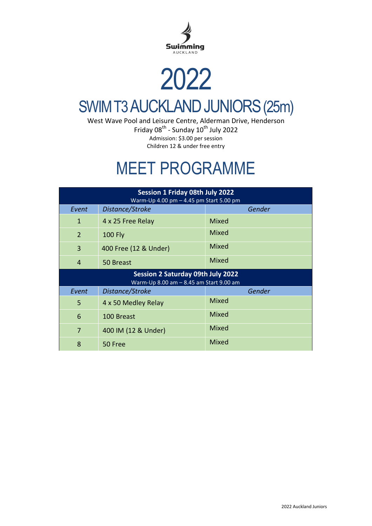

## 2022 SWIM T3 AUCKLAND JUNIORS(25m)

West Wave Pool and Leisure Centre, Alderman Drive, Henderson Friday 08<sup>th</sup> - Sunday 10<sup>th</sup> July 2022 Admission: \$3.00 per session Children 12 & under free entry

## MEET PROGRAMME

|                | Session 1 Friday 08th July 2022<br>Warm-Up 4.00 pm - 4.45 pm Start 5.00 pm          |              |
|----------------|-------------------------------------------------------------------------------------|--------------|
| Event          | Distance/Stroke                                                                     | Gender       |
| $\mathbf{1}$   | 4 x 25 Free Relay                                                                   | Mixed        |
| 2              | <b>100 Fly</b>                                                                      | Mixed        |
| 3              | 400 Free (12 & Under)                                                               | Mixed        |
| $\overline{4}$ | 50 Breast                                                                           | Mixed        |
|                |                                                                                     |              |
|                | <b>Session 2 Saturday 09th July 2022</b><br>Warm-Up 8.00 am - 8.45 am Start 9.00 am |              |
| Event          | Distance/Stroke                                                                     | Gender       |
| 5              | 4 x 50 Medley Relay                                                                 | <b>Mixed</b> |
| 6              | 100 Breast                                                                          | Mixed        |
| $\overline{7}$ | 400 IM (12 & Under)                                                                 | Mixed        |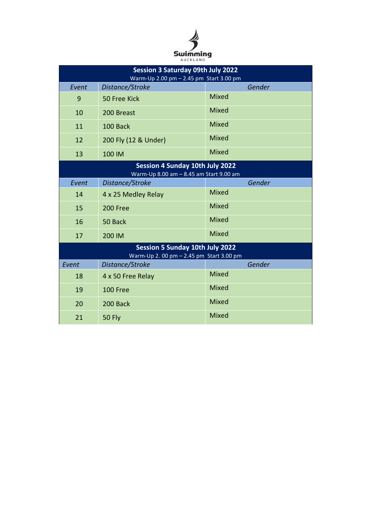

|       | <b>Session 3 Saturday 09th July 2022</b><br>Warm-Up 2.00 pm - 2.45 pm Start 3.00 pm |              |
|-------|-------------------------------------------------------------------------------------|--------------|
| Event | Distance/Stroke                                                                     | Gender       |
| 9     | 50 Free Kick                                                                        | <b>Mixed</b> |
| 10    | 200 Breast                                                                          | <b>Mixed</b> |
| 11    | 100 Back                                                                            | <b>Mixed</b> |
| 12    | 200 Fly (12 & Under)                                                                | <b>Mixed</b> |
| 13    | 100 IM                                                                              | <b>Mixed</b> |
|       | <b>Session 4 Sunday 10th July 2022</b><br>Warm-Up 8.00 am - 8.45 am Start 9.00 am   |              |
| Event | Distance/Stroke                                                                     | Gender       |
| 14    | 4 x 25 Medley Relay                                                                 | <b>Mixed</b> |
| 15    | 200 Free                                                                            | Mixed        |
| 16    | 50 Back                                                                             | Mixed        |
| 17    | 200 IM                                                                              | Mixed        |
|       | Session 5 Sunday 10th July 2022<br>Warm-Up 2. 00 pm - 2.45 pm Start 3.00 pm         |              |
| Event | Distance/Stroke                                                                     | Gender       |
| 18    | 4 x 50 Free Relay                                                                   | <b>Mixed</b> |
| 19    | 100 Free                                                                            | Mixed        |
| 20    | 200 Back                                                                            | Mixed        |
| 21    | <b>50 Fly</b>                                                                       | Mixed        |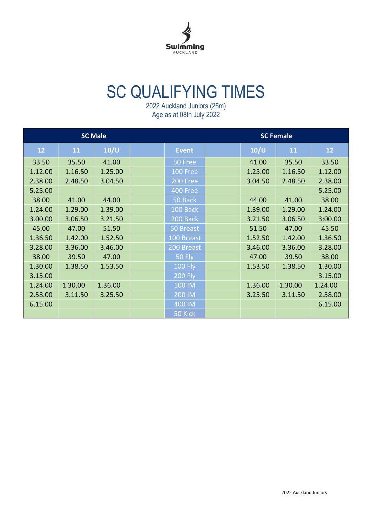

## SC QUALIFYING TIMES

|         | <b>SC Male</b> |         |                |         | <b>SC Female</b> |         |
|---------|----------------|---------|----------------|---------|------------------|---------|
| 12      | 11             | 10/U    | <b>Event</b>   | 10/U    | 11               | 12      |
| 33.50   | 35.50          | 41.00   | 50 Free        | 41.00   | 35.50            | 33.50   |
| 1.12.00 | 1.16.50        | 1.25.00 | 100 Free       | 1.25.00 | 1.16.50          | 1.12.00 |
| 2.38.00 | 2.48.50        | 3.04.50 | 200 Free       | 3.04.50 | 2.48.50          | 2.38.00 |
| 5.25.00 |                |         | 400 Free       |         |                  | 5.25.00 |
| 38.00   | 41.00          | 44.00   | 50 Back        | 44.00   | 41.00            | 38.00   |
| 1.24.00 | 1.29.00        | 1.39.00 | 100 Back       | 1.39.00 | 1.29.00          | 1.24.00 |
| 3.00.00 | 3.06.50        | 3.21.50 | 200 Back       | 3.21.50 | 3.06.50          | 3:00.00 |
| 45.00   | 47.00          | 51.50   | 50 Breast      | 51.50   | 47.00            | 45.50   |
| 1.36.50 | 1.42.00        | 1.52.50 | 100 Breast     | 1.52.50 | 1.42.00          | 1.36.50 |
| 3.28.00 | 3.36.00        | 3.46.00 | 200 Breast     | 3.46.00 | 3.36.00          | 3.28.00 |
| 38.00   | 39.50          | 47.00   | <b>50 Fly</b>  | 47.00   | 39.50            | 38.00   |
| 1.30.00 | 1.38.50        | 1.53.50 | <b>100 Fly</b> | 1.53.50 | 1.38.50          | 1.30.00 |
| 3.15.00 |                |         | <b>200 Fly</b> |         |                  | 3.15.00 |
| 1.24.00 | 1.30.00        | 1.36.00 | 100 IM         | 1.36.00 | 1.30.00          | 1.24.00 |
| 2.58.00 | 3.11.50        | 3.25.50 | 200 IM         | 3.25.50 | 3.11.50          | 2.58.00 |
| 6.15.00 |                |         | 400 IM         |         |                  | 6.15.00 |
|         |                |         | 50 Kick        |         |                  |         |

2022 Auckland Juniors (25m) Age as at 08th July 2022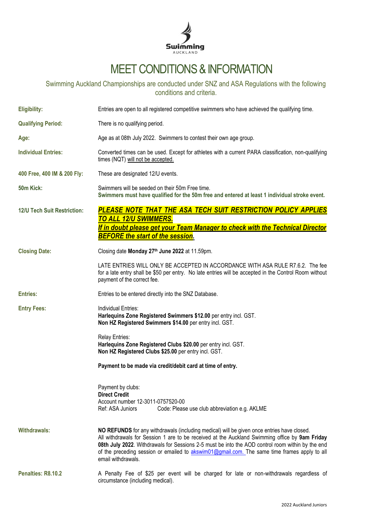

## MEET CONDITIONS & INFORMATION

Swimming Auckland Championships are conducted under SNZ and ASA Regulations with the following conditions and criteria.

| <b>Eligibility:</b>                | Entries are open to all registered competitive swimmers who have achieved the qualifying time.                                                                                                                                                                                                                                                                                                                         |
|------------------------------------|------------------------------------------------------------------------------------------------------------------------------------------------------------------------------------------------------------------------------------------------------------------------------------------------------------------------------------------------------------------------------------------------------------------------|
| <b>Qualifying Period:</b>          | There is no qualifying period.                                                                                                                                                                                                                                                                                                                                                                                         |
| Age:                               | Age as at 08th July 2022. Swimmers to contest their own age group.                                                                                                                                                                                                                                                                                                                                                     |
| <b>Individual Entries:</b>         | Converted times can be used. Except for athletes with a current PARA classification, non-qualifying<br>times (NQT) will not be accepted.                                                                                                                                                                                                                                                                               |
| 400 Free, 400 IM & 200 Fly:        | These are designated 12/U events.                                                                                                                                                                                                                                                                                                                                                                                      |
| 50 <sub>m</sub> Kick:              | Swimmers will be seeded on their 50m Free time.<br>Swimmers must have qualified for the 50m free and entered at least 1 individual stroke event.                                                                                                                                                                                                                                                                       |
| <b>12/U Tech Suit Restriction:</b> | PLEASE NOTE THAT THE ASA TECH SUIT RESTRICTION POLICY APPLIES<br><b>TO ALL 12/U SWIMMERS.</b>                                                                                                                                                                                                                                                                                                                          |
|                                    | If in doubt please get your Team Manager to check with the Technical Director                                                                                                                                                                                                                                                                                                                                          |
|                                    | <b>BEFORE the start of the session.</b>                                                                                                                                                                                                                                                                                                                                                                                |
| <b>Closing Date:</b>               | Closing date Monday 27th June 2022 at 11.59pm.                                                                                                                                                                                                                                                                                                                                                                         |
|                                    | LATE ENTRIES WILL ONLY BE ACCEPTED IN ACCORDANCE WITH ASA RULE R7.6.2. The fee<br>for a late entry shall be \$50 per entry. No late entries will be accepted in the Control Room without<br>payment of the correct fee.                                                                                                                                                                                                |
| <b>Entries:</b>                    | Entries to be entered directly into the SNZ Database.                                                                                                                                                                                                                                                                                                                                                                  |
| <b>Entry Fees:</b>                 | Individual Entries:<br>Harlequins Zone Registered Swimmers \$12.00 per entry incl. GST.<br>Non HZ Registered Swimmers \$14.00 per entry incl. GST.                                                                                                                                                                                                                                                                     |
|                                    | Relay Entries:<br>Harlequins Zone Registered Clubs \$20.00 per entry incl. GST.<br>Non HZ Registered Clubs \$25.00 per entry incl. GST.                                                                                                                                                                                                                                                                                |
|                                    | Payment to be made via credit/debit card at time of entry.                                                                                                                                                                                                                                                                                                                                                             |
|                                    | Payment by clubs:<br><b>Direct Credit</b><br>Account number 12-3011-0757520-00<br>Ref: ASA Juniors<br>Code: Please use club abbreviation e.g. AKLME                                                                                                                                                                                                                                                                    |
| <b>Withdrawals:</b>                | NO REFUNDS for any withdrawals (including medical) will be given once entries have closed.<br>All withdrawals for Session 1 are to be received at the Auckland Swimming office by 9am Friday<br>08th July 2022. Withdrawals for Sessions 2-5 must be into the AOD control room within by the end<br>of the preceding session or emailed to akswim01@gmail.com. The same time frames apply to all<br>email withdrawals. |
| Penalties: R8.10.2                 | A Penalty Fee of \$25 per event will be charged for late or non-withdrawals regardless of<br>circumstance (including medical).                                                                                                                                                                                                                                                                                         |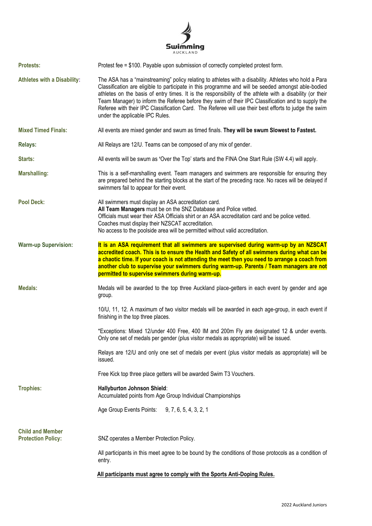

| <b>Protests:</b>                                     | Protest fee = \$100. Payable upon submission of correctly completed protest form.                                                                                                                                                                                                                                                                                                                                                                                                                                                                                           |
|------------------------------------------------------|-----------------------------------------------------------------------------------------------------------------------------------------------------------------------------------------------------------------------------------------------------------------------------------------------------------------------------------------------------------------------------------------------------------------------------------------------------------------------------------------------------------------------------------------------------------------------------|
| <b>Athletes with a Disability:</b>                   | The ASA has a "mainstreaming" policy relating to athletes with a disability. Athletes who hold a Para<br>Classification are eligible to participate in this programme and will be seeded amongst able-bodied<br>athletes on the basis of entry times. It is the responsibility of the athlete with a disability (or their<br>Team Manager) to inform the Referee before they swim of their IPC Classification and to supply the<br>Referee with their IPC Classification Card. The Referee will use their best efforts to judge the swim<br>under the applicable IPC Rules. |
| <b>Mixed Timed Finals:</b>                           | All events are mixed gender and swum as timed finals. They will be swum Slowest to Fastest.                                                                                                                                                                                                                                                                                                                                                                                                                                                                                 |
| <b>Relays:</b>                                       | All Relays are 12/U. Teams can be composed of any mix of gender.                                                                                                                                                                                                                                                                                                                                                                                                                                                                                                            |
| Starts:                                              | All events will be swum as 'Over the Top' starts and the FINA One Start Rule (SW 4.4) will apply.                                                                                                                                                                                                                                                                                                                                                                                                                                                                           |
| <b>Marshalling:</b>                                  | This is a self-marshalling event. Team managers and swimmers are responsible for ensuring they<br>are prepared behind the starting blocks at the start of the preceding race. No races will be delayed if<br>swimmers fail to appear for their event.                                                                                                                                                                                                                                                                                                                       |
| <b>Pool Deck:</b>                                    | All swimmers must display an ASA accreditation card.<br>All Team Managers must be on the SNZ Database and Police vetted.<br>Officials must wear their ASA Officials shirt or an ASA accreditation card and be police vetted.<br>Coaches must display their NZSCAT accreditation.<br>No access to the poolside area will be permitted without valid accreditation.                                                                                                                                                                                                           |
| <b>Warm-up Supervision:</b>                          | It is an ASA requirement that all swimmers are supervised during warm-up by an NZSCAT<br>accredited coach. This is to ensure the Health and Safety of all swimmers during what can be<br>a chaotic time. If your coach is not attending the meet then you need to arrange a coach from<br>another club to supervise your swimmers during warm-up. Parents / Team managers are not                                                                                                                                                                                           |
|                                                      | permitted to supervise swimmers during warm-up.                                                                                                                                                                                                                                                                                                                                                                                                                                                                                                                             |
| <b>Medals:</b>                                       | Medals will be awarded to the top three Auckland place-getters in each event by gender and age<br>group.                                                                                                                                                                                                                                                                                                                                                                                                                                                                    |
|                                                      | 10/U, 11, 12. A maximum of two visitor medals will be awarded in each age-group, in each event if<br>finishing in the top three places.                                                                                                                                                                                                                                                                                                                                                                                                                                     |
|                                                      | *Exceptions: Mixed 12/under 400 Free, 400 IM and 200m Fly are designated 12 & under events.<br>Only one set of medals per gender (plus visitor medals as appropriate) will be issued.                                                                                                                                                                                                                                                                                                                                                                                       |
|                                                      | Relays are 12/U and only one set of medals per event (plus visitor medals as appropriate) will be<br>issued.                                                                                                                                                                                                                                                                                                                                                                                                                                                                |
|                                                      | Free Kick top three place getters will be awarded Swim T3 Vouchers.                                                                                                                                                                                                                                                                                                                                                                                                                                                                                                         |
| <b>Trophies:</b>                                     | Hallyburton Johnson Shield:<br>Accumulated points from Age Group Individual Championships                                                                                                                                                                                                                                                                                                                                                                                                                                                                                   |
|                                                      | Age Group Events Points: 9, 7, 6, 5, 4, 3, 2, 1                                                                                                                                                                                                                                                                                                                                                                                                                                                                                                                             |
| <b>Child and Member</b><br><b>Protection Policy:</b> | SNZ operates a Member Protection Policy.                                                                                                                                                                                                                                                                                                                                                                                                                                                                                                                                    |
|                                                      | All participants in this meet agree to be bound by the conditions of those protocols as a condition of<br>entry.                                                                                                                                                                                                                                                                                                                                                                                                                                                            |